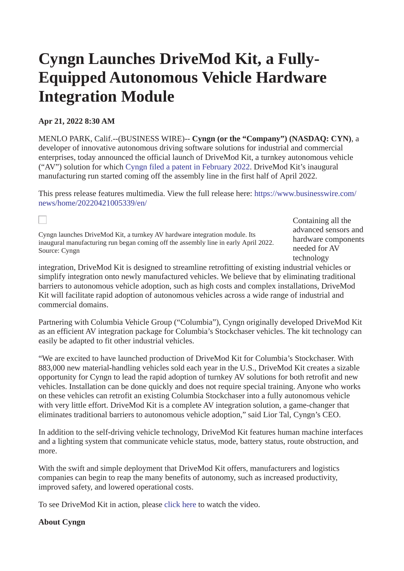## **Cyngn Launches DriveMod Kit, a Fully-Equipped Autonomous Vehicle Hardware Integration Module**

## **Apr 21, 2022 8:30 AM**

 $\Box$ 

MENLO PARK, Calif.--(BUSINESS WIRE)-- **Cyngn (or the "Company") (NASDAQ: CYN)**, a developer of innovative autonomous driving software solutions for industrial and commercial enterprises, today announced the official launch of DriveMod Kit, a turnkey autonomous vehicle ("AV") solution for which [Cyngn filed a patent in February 2022](https://cts.businesswire.com/ct/CT?id=smartlink&url=https%3A%2F%2Finvestors.cyngn.com%2Fnews-details%2F%3Fid%3D47ef000a-92d8-4bb1-96b0-d3ff7f2cead7&esheet=52692561&newsitemid=20220421005339&lan=en-US&anchor=Cyngn+filed+a+patent+in+February+2022&index=1&md5=fe1f834fe2475db590cd5680facb54b1). DriveMod Kit's inaugural manufacturing run started coming off the assembly line in the first half of April 2022.

[This press release features multimedia. View the full release here: https://www.businesswire.com/](https://www.businesswire.com/news/home/20220421005339/en/) news/home/20220421005339/en/

Cyngn launches DriveMod Kit, a turnkey AV hardware integration module. Its inaugural manufacturing run began coming off the assembly line in early April 2022. Source: Cyngn

Containing all the advanced sensors and hardware components needed for AV technology

integration, DriveMod Kit is designed to streamline retrofitting of existing industrial vehicles or simplify integration onto newly manufactured vehicles. We believe that by eliminating traditional barriers to autonomous vehicle adoption, such as high costs and complex installations, DriveMod Kit will facilitate rapid adoption of autonomous vehicles across a wide range of industrial and commercial domains.

Partnering with Columbia Vehicle Group ("Columbia"), Cyngn originally developed DriveMod Kit as an efficient AV integration package for Columbia's Stockchaser vehicles. The kit technology can easily be adapted to fit other industrial vehicles.

"We are excited to have launched production of DriveMod Kit for Columbia's Stockchaser. With 883,000 new material-handling vehicles sold each year in the U.S., DriveMod Kit creates a sizable opportunity for Cyngn to lead the rapid adoption of turnkey AV solutions for both retrofit and new vehicles. Installation can be done quickly and does not require special training. Anyone who works on these vehicles can retrofit an existing Columbia Stockchaser into a fully autonomous vehicle with very little effort. DriveMod Kit is a complete AV integration solution, a game-changer that eliminates traditional barriers to autonomous vehicle adoption," said Lior Tal, Cyngn's CEO.

In addition to the self-driving vehicle technology, DriveMod Kit features human machine interfaces and a lighting system that communicate vehicle status, mode, battery status, route obstruction, and more.

With the swift and simple deployment that DriveMod Kit offers, manufacturers and logistics companies can begin to reap the many benefits of autonomy, such as increased productivity, improved safety, and lowered operational costs.

To see DriveMod Kit in action, please [click here](https://cts.businesswire.com/ct/CT?id=smartlink&url=https%3A%2F%2Fyoutu.be%2FIvLvIVDu7VE&esheet=52692561&newsitemid=20220421005339&lan=en-US&anchor=click+here&index=2&md5=69cd2289ee245f80895bb5a5d2ae3ffc) to watch the video.

## **About Cyngn**